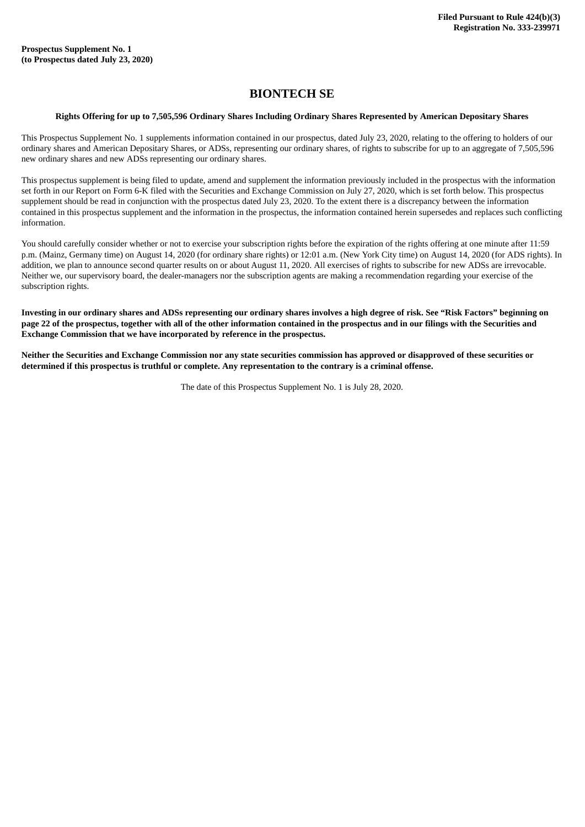# **BIONTECH SE**

#### Rights Offering for up to 7.505.596 Ordinary Shares Including Ordinary Shares Represented by American Depositary Shares

This Prospectus Supplement No. 1 supplements information contained in our prospectus, dated July 23, 2020, relating to the offering to holders of our ordinary shares and American Depositary Shares, or ADSs, representing our ordinary shares, of rights to subscribe for up to an aggregate of 7,505,596 new ordinary shares and new ADSs representing our ordinary shares.

This prospectus supplement is being filed to update, amend and supplement the information previously included in the prospectus with the information set forth in our Report on Form 6-K filed with the Securities and Exchange Commission on July 27, 2020, which is set forth below. This prospectus supplement should be read in conjunction with the prospectus dated July 23, 2020. To the extent there is a discrepancy between the information contained in this prospectus supplement and the information in the prospectus, the information contained herein supersedes and replaces such conflicting information.

You should carefully consider whether or not to exercise your subscription rights before the expiration of the rights offering at one minute after 11:59 p.m. (Mainz, Germany time) on August 14, 2020 (for ordinary share rights) or 12:01 a.m. (New York City time) on August 14, 2020 (for ADS rights). In addition, we plan to announce second quarter results on or about August 11, 2020. All exercises of rights to subscribe for new ADSs are irrevocable. Neither we, our supervisory board, the dealer-managers nor the subscription agents are making a recommendation regarding your exercise of the subscription rights.

Investing in our ordinary shares and ADSs representing our ordinary shares involves a high degree of risk. See "Risk Factors" beginning on page 22 of the prospectus, together with all of the other information contained in the prospectus and in our filings with the Securities and **Exchange Commission that we have incorporated by reference in the prospectus.**

Neither the Securities and Exchange Commission nor any state securities commission has approved or disapproved of these securities or determined if this prospectus is truthful or complete. Any representation to the contrary is a criminal offense.

The date of this Prospectus Supplement No. 1 is July 28, 2020.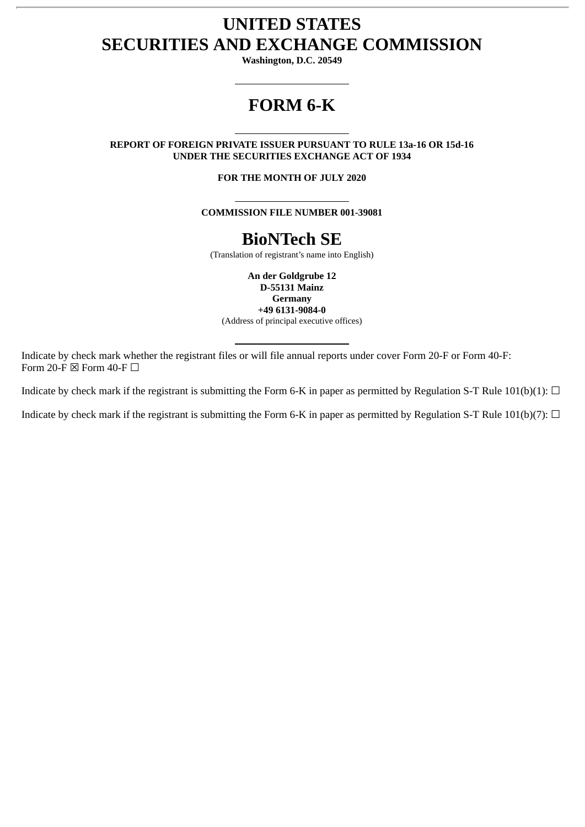# **UNITED STATES SECURITIES AND EXCHANGE COMMISSION**

**Washington, D.C. 20549**

# **FORM 6-K**

**REPORT OF FOREIGN PRIVATE ISSUER PURSUANT TO RULE 13a-16 OR 15d-16 UNDER THE SECURITIES EXCHANGE ACT OF 1934**

**FOR THE MONTH OF JULY 2020**

**COMMISSION FILE NUMBER 001-39081**

# **BioNTech SE**

(Translation of registrant's name into English)

**An der Goldgrube 12 D-55131 Mainz Germany +49 6131-9084-0** (Address of principal executive offices)

Indicate by check mark whether the registrant files or will file annual reports under cover Form 20-F or Form 40-F: Form 20-F  $\boxtimes$  Form 40-F  $\Box$ 

Indicate by check mark if the registrant is submitting the Form 6-K in paper as permitted by Regulation S-T Rule 101(b)(1):  $\Box$ 

Indicate by check mark if the registrant is submitting the Form 6-K in paper as permitted by Regulation S-T Rule 101(b)(7):  $\Box$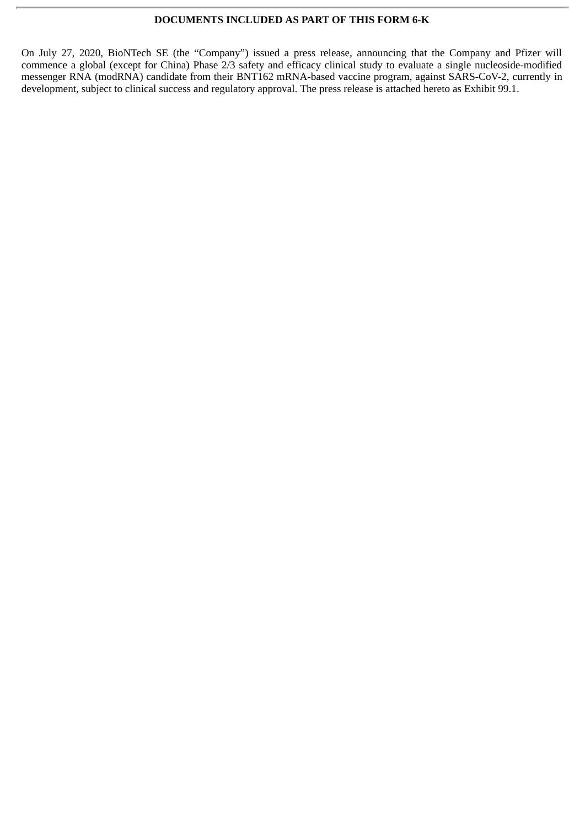#### **DOCUMENTS INCLUDED AS PART OF THIS FORM 6-K**

On July 27, 2020, BioNTech SE (the "Company") issued a press release, announcing that the Company and Pfizer will commence a global (except for China) Phase 2/3 safety and efficacy clinical study to evaluate a single nucleoside-modified messenger RNA (modRNA) candidate from their BNT162 mRNA-based vaccine program, against SARS-CoV-2, currently in development, subject to clinical success and regulatory approval. The press release is attached hereto as Exhibit 99.1.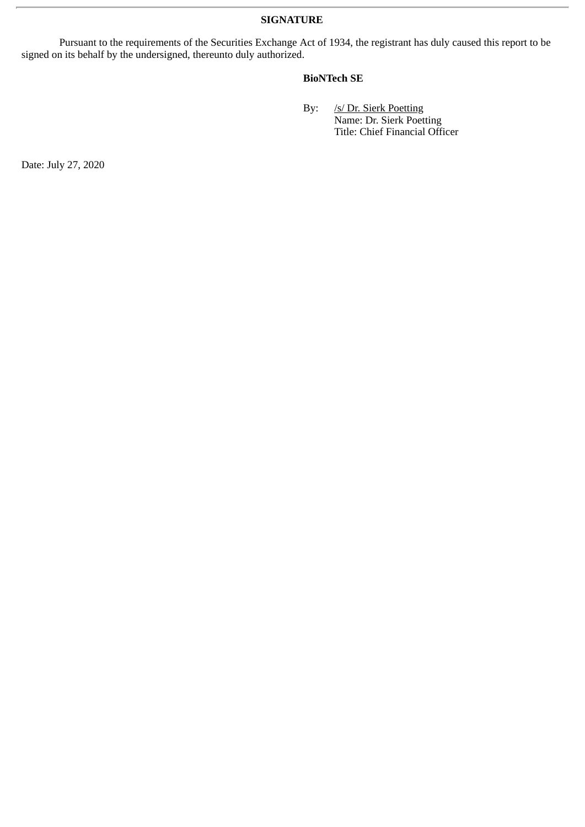#### **SIGNATURE**

Pursuant to the requirements of the Securities Exchange Act of 1934, the registrant has duly caused this report to be signed on its behalf by the undersigned, thereunto duly authorized.

### **BioNTech SE**

By: /s/ Dr. Sierk Poetting Name: Dr. Sierk Poetting Title: Chief Financial Officer

Date: July 27, 2020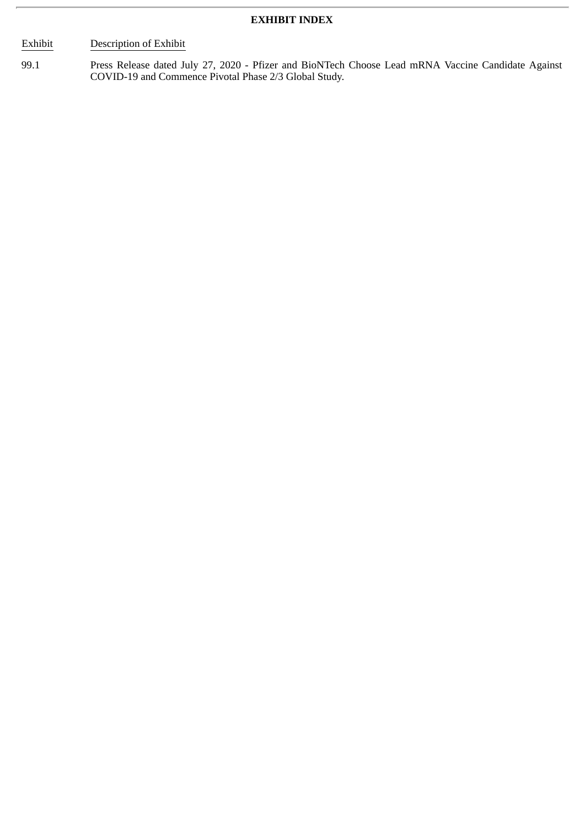## **EXHIBIT INDEX**

Exhibit Description of Exhibit

99.1 Press Release dated July 27, 2020 - Pfizer and BioNTech Choose Lead mRNA Vaccine Candidate Against COVID-19 and Commence Pivotal Phase 2/3 Global Study.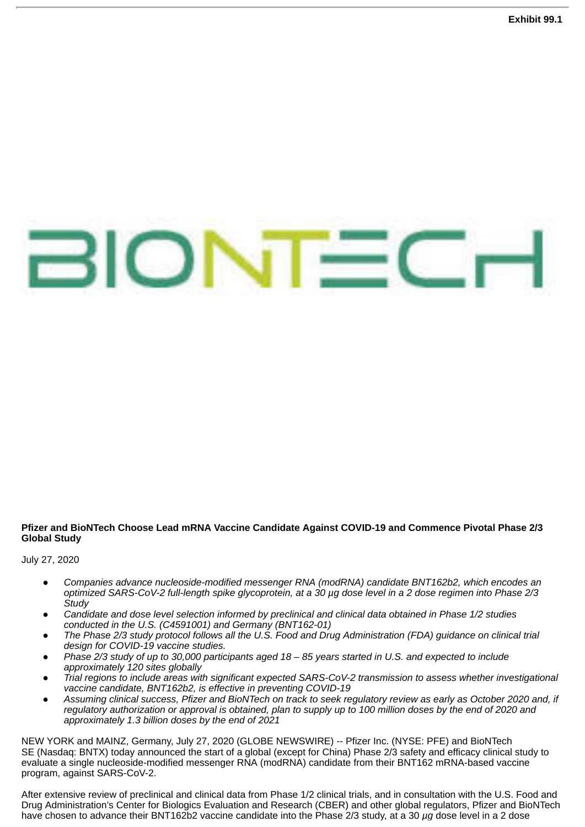

#### **Pfizer and BioNTech Choose Lead mRNA Vaccine Candidate Against COVID-19 and Commence Pivotal Phase 2/3 Global Study**

July 27, 2020

- *Companies advance nucleoside-modified messenger RNA (modRNA) candidate BNT162b2, which encodes an* optimized SARS-CoV-2 full-length spike glycoprotein, at a 30 µg dose level in a 2 dose regimen into Phase 2/3 *Study*
- *Candidate and dose level selection informed by preclinical and clinical data obtained in Phase 1/2 studies conducted in the U.S. (C4591001) and Germany (BNT162-01)*
- The Phase 2/3 study protocol follows all the U.S. Food and Drug Administration (FDA) quidance on clinical trial *design for COVID-19 vaccine studies.*
- Phase 2/3 study of up to 30,000 participants aged  $18 85$  years started in U.S. and expected to include *approximately 120 sites globally*
- *Trial regions to include areas with significant expected SARS-CoV-2 transmission to assess whether investigational vaccine candidate, BNT162b2, is effective in preventing COVID-19*
- Assuming clinical success, Pfizer and BioNTech on track to seek regulatory review as early as October 2020 and, if regulatory authorization or approval is obtained, plan to supply up to 100 million doses by the end of 2020 and *approximately 1.3 billion doses by the end of 2021*

NEW YORK and MAINZ, Germany, July 27, 2020 (GLOBE NEWSWIRE) -- Pfizer Inc. (NYSE: PFE) and BioNTech SE (Nasdaq: BNTX) today announced the start of a global (except for China) Phase 2/3 safety and efficacy clinical study to evaluate a single nucleoside-modified messenger RNA (modRNA) candidate from their BNT162 mRNA-based vaccine program, against SARS-CoV-2.

After extensive review of preclinical and clinical data from Phase 1/2 clinical trials, and in consultation with the U.S. Food and Drug Administration's Center for Biologics Evaluation and Research (CBER) and other global regulators, Pfizer and BioNTech have chosen to advance their BNT162b2 vaccine candidate into the Phase 2/3 study, at a 30 *µg* dose level in a 2 dose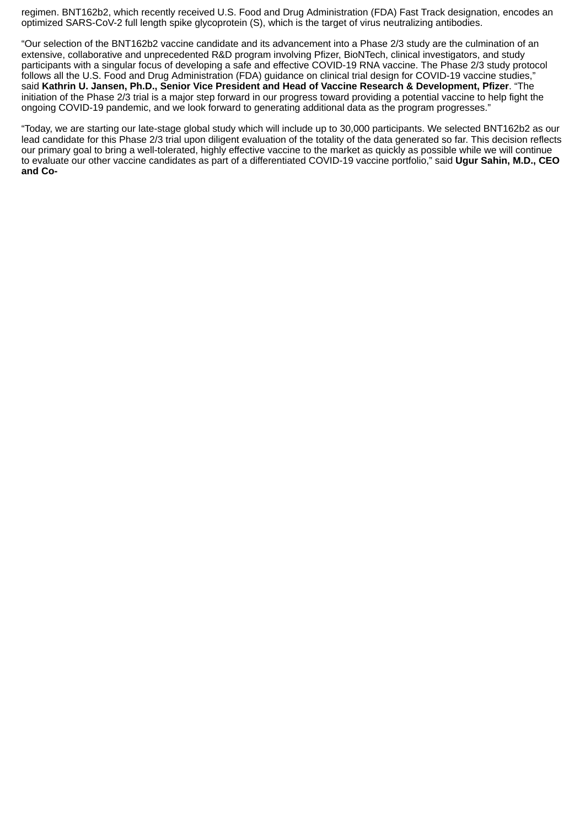regimen. BNT162b2, which recently received U.S. Food and Drug Administration (FDA) Fast Track designation, encodes an optimized SARS-CoV-2 full length spike glycoprotein (S), which is the target of virus neutralizing antibodies.

"Our selection of the BNT162b2 vaccine candidate and its advancement into a Phase 2/3 study are the culmination of an extensive, collaborative and unprecedented R&D program involving Pfizer, BioNTech, clinical investigators, and study participants with a singular focus of developing a safe and effective COVID-19 RNA vaccine. The Phase 2/3 study protocol follows all the U.S. Food and Drug Administration (FDA) guidance on clinical trial design for COVID-19 vaccine studies," said **Kathrin U. Jansen, Ph.D., Senior Vice President and Head of Vaccine Research & Development, Pfizer**. "The initiation of the Phase 2/3 trial is a major step forward in our progress toward providing a potential vaccine to help fight the ongoing COVID-19 pandemic, and we look forward to generating additional data as the program progresses."

"Today, we are starting our late-stage global study which will include up to 30,000 participants. We selected BNT162b2 as our lead candidate for this Phase 2/3 trial upon diligent evaluation of the totality of the data generated so far. This decision reflects our primary goal to bring a well-tolerated, highly effective vaccine to the market as quickly as possible while we will continue to evaluate our other vaccine candidates as part of a differentiated COVID-19 vaccine portfolio," said **Ugur Sahin, M.D., CEO and Co-**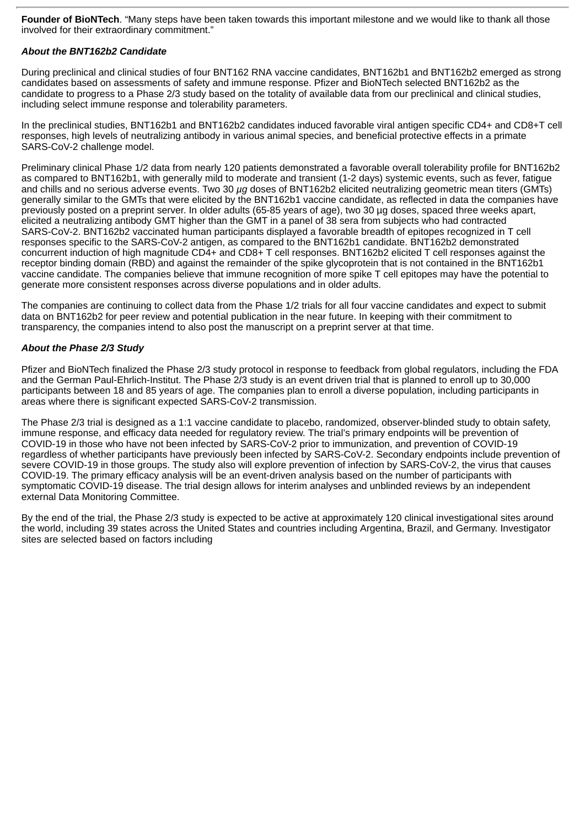**Founder of BioNTech**. "Many steps have been taken towards this important milestone and we would like to thank all those involved for their extraordinary commitment."

#### *About the BNT162b2 Candidate*

During preclinical and clinical studies of four BNT162 RNA vaccine candidates, BNT162b1 and BNT162b2 emerged as strong candidates based on assessments of safety and immune response. Pfizer and BioNTech selected BNT162b2 as the candidate to progress to a Phase 2/3 study based on the totality of available data from our preclinical and clinical studies, including select immune response and tolerability parameters.

In the preclinical studies, BNT162b1 and BNT162b2 candidates induced favorable viral antigen specific CD4+ and CD8+T cell responses, high levels of neutralizing antibody in various animal species, and beneficial protective effects in a primate SARS-CoV-2 challenge model.

Preliminary clinical Phase 1/2 data from nearly 120 patients demonstrated a favorable overall tolerability profile for BNT162b2 as compared to BNT162b1, with generally mild to moderate and transient (1-2 days) systemic events, such as fever, fatigue and chills and no serious adverse events. Two 30 µg doses of BNT162b2 elicited neutralizing geometric mean titers (GMTs) generally similar to the GMTs that were elicited by the BNT162b1 vaccine candidate, as reflected in data the companies have previously posted on a preprint server. In older adults (65-85 years of age), two 30 µg doses, spaced three weeks apart, elicited a neutralizing antibody GMT higher than the GMT in a panel of 38 sera from subjects who had contracted SARS-CoV-2. BNT162b2 vaccinated human participants displayed a favorable breadth of epitopes recognized in T cell responses specific to the SARS-CoV-2 antigen, as compared to the BNT162b1 candidate. BNT162b2 demonstrated concurrent induction of high magnitude CD4+ and CD8+ T cell responses. BNT162b2 elicited T cell responses against the receptor binding domain (RBD) and against the remainder of the spike glycoprotein that is not contained in the BNT162b1 vaccine candidate. The companies believe that immune recognition of more spike T cell epitopes may have the potential to generate more consistent responses across diverse populations and in older adults.

The companies are continuing to collect data from the Phase 1/2 trials for all four vaccine candidates and expect to submit data on BNT162b2 for peer review and potential publication in the near future. In keeping with their commitment to transparency, the companies intend to also post the manuscript on a preprint server at that time.

#### *About the Phase 2/3 Study*

Pfizer and BioNTech finalized the Phase 2/3 study protocol in response to feedback from global regulators, including the FDA and the German Paul-Ehrlich-Institut. The Phase 2/3 study is an event driven trial that is planned to enroll up to 30,000 participants between 18 and 85 years of age. The companies plan to enroll a diverse population, including participants in areas where there is significant expected SARS-CoV-2 transmission.

The Phase 2/3 trial is designed as a 1:1 vaccine candidate to placebo, randomized, observer-blinded study to obtain safety, immune response, and efficacy data needed for regulatory review. The trial's primary endpoints will be prevention of COVID-19 in those who have not been infected by SARS-CoV-2 prior to immunization, and prevention of COVID-19 regardless of whether participants have previously been infected by SARS-CoV-2. Secondary endpoints include prevention of severe COVID-19 in those groups. The study also will explore prevention of infection by SARS-CoV-2, the virus that causes COVID-19. The primary efficacy analysis will be an event-driven analysis based on the number of participants with symptomatic COVID-19 disease. The trial design allows for interim analyses and unblinded reviews by an independent external Data Monitoring Committee.

By the end of the trial, the Phase 2/3 study is expected to be active at approximately 120 clinical investigational sites around the world, including 39 states across the United States and countries including Argentina, Brazil, and Germany. Investigator sites are selected based on factors including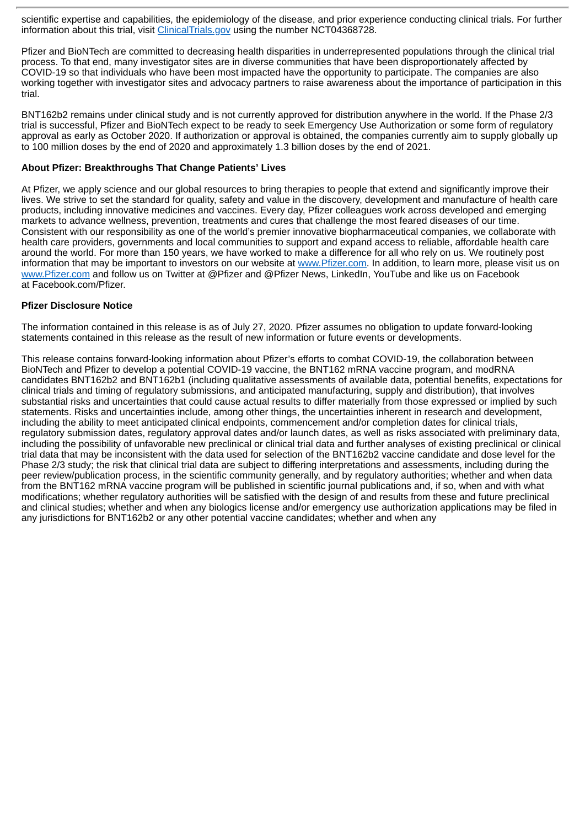scientific expertise and capabilities, the epidemiology of the disease, and prior experience conducting clinical trials. For further information about this trial, visit ClinicalTrials.gov using the number NCT04368728.

Pfizer and BioNTech are committed to decreasing health disparities in underrepresented populations through the clinical trial process. To that end, many investigator sites are in diverse communities that have been disproportionately affected by COVID-19 so that individuals who have been most impacted have the opportunity to participate. The companies are also working together with investigator sites and advocacy partners to raise awareness about the importance of participation in this trial.

BNT162b2 remains under clinical study and is not currently approved for distribution anywhere in the world. If the Phase 2/3 trial is successful, Pfizer and BioNTech expect to be ready to seek Emergency Use Authorization or some form of regulatory approval as early as October 2020. If authorization or approval is obtained, the companies currently aim to supply globally up to 100 million doses by the end of 2020 and approximately 1.3 billion doses by the end of 2021.

#### **About Pfizer: Breakthroughs That Change Patients' Lives**

At Pfizer, we apply science and our global resources to bring therapies to people that extend and significantly improve their lives. We strive to set the standard for quality, safety and value in the discovery, development and manufacture of health care products, including innovative medicines and vaccines. Every day, Pfizer colleagues work across developed and emerging markets to advance wellness, prevention, treatments and cures that challenge the most feared diseases of our time. Consistent with our responsibility as one of the world's premier innovative biopharmaceutical companies, we collaborate with health care providers, governments and local communities to support and expand access to reliable, affordable health care around the world. For more than 150 years, we have worked to make a difference for all who rely on us. We routinely post information that may be important to investors on our website at www.Pfizer.com. In addition, to learn more, please visit us on www.Pfizer.com and follow us on Twitter at @Pfizer and @Pfizer News, LinkedIn, YouTube and like us on Facebook at Facebook.com/Pfizer.

#### **Pfizer Disclosure Notice**

The information contained in this release is as of July 27, 2020. Pfizer assumes no obligation to update forward-looking statements contained in this release as the result of new information or future events or developments.

This release contains forward-looking information about Pfizer's efforts to combat COVID-19, the collaboration between BioNTech and Pfizer to develop a potential COVID-19 vaccine, the BNT162 mRNA vaccine program, and modRNA candidates BNT162b2 and BNT162b1 (including qualitative assessments of available data, potential benefits, expectations for clinical trials and timing of regulatory submissions, and anticipated manufacturing, supply and distribution), that involves substantial risks and uncertainties that could cause actual results to differ materially from those expressed or implied by such statements. Risks and uncertainties include, among other things, the uncertainties inherent in research and development, including the ability to meet anticipated clinical endpoints, commencement and/or completion dates for clinical trials, regulatory submission dates, regulatory approval dates and/or launch dates, as well as risks associated with preliminary data, including the possibility of unfavorable new preclinical or clinical trial data and further analyses of existing preclinical or clinical trial data that may be inconsistent with the data used for selection of the BNT162b2 vaccine candidate and dose level for the Phase 2/3 study; the risk that clinical trial data are subject to differing interpretations and assessments, including during the peer review/publication process, in the scientific community generally, and by regulatory authorities; whether and when data from the BNT162 mRNA vaccine program will be published in scientific journal publications and, if so, when and with what modifications; whether regulatory authorities will be satisfied with the design of and results from these and future preclinical and clinical studies; whether and when any biologics license and/or emergency use authorization applications may be filed in any jurisdictions for BNT162b2 or any other potential vaccine candidates; whether and when any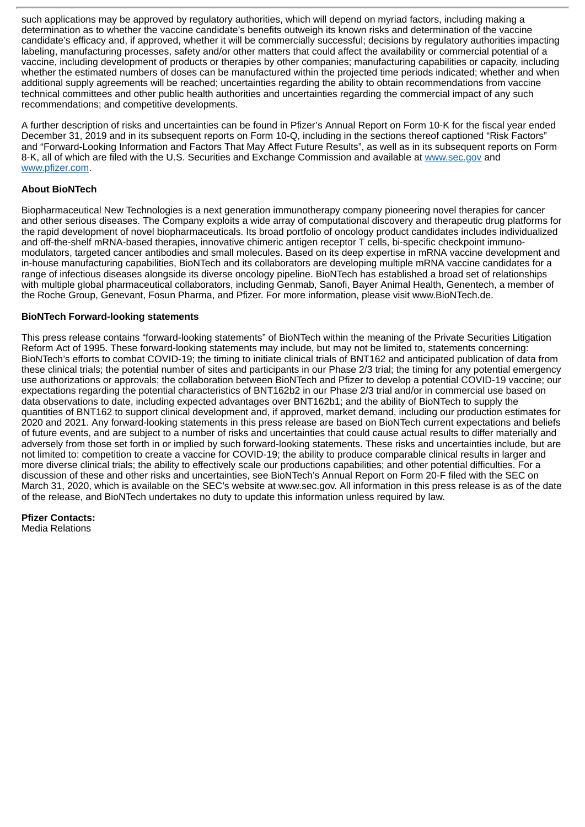such applications may be approved by regulatory authorities, which will depend on myriad factors, including making a determination as to whether the vaccine candidate's benefits outweigh its known risks and determination of the vaccine candidate's efficacy and, if approved, whether it will be commercially successful; decisions by regulatory authorities impacting labeling, manufacturing processes, safety and/or other matters that could affect the availability or commercial potential of a vaccine, including development of products or therapies by other companies; manufacturing capabilities or capacity, including whether the estimated numbers of doses can be manufactured within the projected time periods indicated; whether and when additional supply agreements will be reached; uncertainties regarding the ability to obtain recommendations from vaccine technical committees and other public health authorities and uncertainties regarding the commercial impact of any such recommendations; and competitive developments.

A further description of risks and uncertainties can be found in Pfizer's Annual Report on Form 10-K for the fiscal year ended December 31, 2019 and in its subsequent reports on Form 10-Q, including in the sections thereof captioned "Risk Factors" and "Forward-Looking Information and Factors That May Affect Future Results", as well as in its subsequent reports on Form 8-K, all of which are filed with the U.S. Securities and Exchange Commission and available at www.sec.gov and www.pfizer.com.

#### **About BioNTech**

Biopharmaceutical New Technologies is a next generation immunotherapy company pioneering novel therapies for cancer and other serious diseases. The Company exploits a wide array of computational discovery and therapeutic drug platforms for the rapid development of novel biopharmaceuticals. Its broad portfolio of oncology product candidates includes individualized and off-the-shelf mRNA-based therapies, innovative chimeric antigen receptor T cells, bi-specific checkpoint immunomodulators, targeted cancer antibodies and small molecules. Based on its deep expertise in mRNA vaccine development and in-house manufacturing capabilities, BioNTech and its collaborators are developing multiple mRNA vaccine candidates for a range of infectious diseases alongside its diverse oncology pipeline. BioNTech has established a broad set of relationships with multiple global pharmaceutical collaborators, including Genmab, Sanofi, Bayer Animal Health, Genentech, a member of the Roche Group, Genevant, Fosun Pharma, and Pfizer. For more information, please visit www.BioNTech.de.

#### **BioNTech Forward-looking statements**

This press release contains "forward-looking statements" of BioNTech within the meaning of the Private Securities Litigation Reform Act of 1995. These forward-looking statements may include, but may not be limited to, statements concerning: BioNTech's efforts to combat COVID-19; the timing to initiate clinical trials of BNT162 and anticipated publication of data from these clinical trials; the potential number of sites and participants in our Phase 2/3 trial; the timing for any potential emergency use authorizations or approvals; the collaboration between BioNTech and Pfizer to develop a potential COVID-19 vaccine; our expectations regarding the potential characteristics of BNT162b2 in our Phase 2/3 trial and/or in commercial use based on data observations to date, including expected advantages over BNT162b1; and the ability of BioNTech to supply the quantities of BNT162 to support clinical development and, if approved, market demand, including our production estimates for 2020 and 2021. Any forward-looking statements in this press release are based on BioNTech current expectations and beliefs of future events, and are subject to a number of risks and uncertainties that could cause actual results to differ materially and adversely from those set forth in or implied by such forward-looking statements. These risks and uncertainties include, but are not limited to: competition to create a vaccine for COVID-19; the ability to produce comparable clinical results in larger and more diverse clinical trials; the ability to effectively scale our productions capabilities; and other potential difficulties. For a discussion of these and other risks and uncertainties, see BioNTech's Annual Report on Form 20-F filed with the SEC on March 31, 2020, which is available on the SEC's website at www.sec.gov. All information in this press release is as of the date of the release, and BioNTech undertakes no duty to update this information unless required by law.

**Pfizer Contacts:** Media Relations